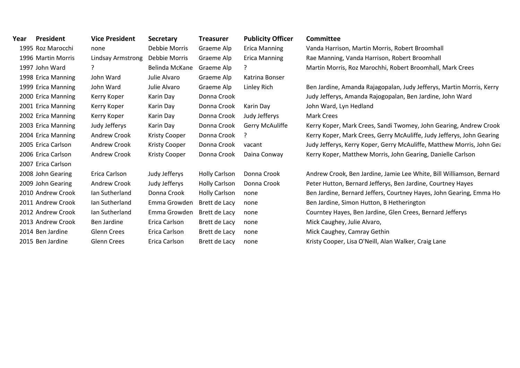| Year | President          | <b>Vice President</b> | <b>Secretary</b>     | <b>Treasurer</b>     | <b>Publicity Officer</b> | Committee                                                             |
|------|--------------------|-----------------------|----------------------|----------------------|--------------------------|-----------------------------------------------------------------------|
|      | 1995 Roz Marocchi  | none                  | Debbie Morris        | Graeme Alp           | <b>Erica Manning</b>     | Vanda Harrison, Martin Morris, Robert Broomhall                       |
|      | 1996 Martin Morris | Lindsay Armstrong     | Debbie Morris        | Graeme Alp           | <b>Erica Manning</b>     | Rae Manning, Vanda Harrison, Robert Broomhall                         |
|      | 1997 John Ward     | 2                     | Belinda McKane       | Graeme Alp           | ?                        | Martin Morris, Roz Marochhi, Robert Broomhall, Mark Crees             |
|      | 1998 Erica Manning | John Ward             | Julie Alvaro         | Graeme Alp           | Katrina Bonser           |                                                                       |
|      | 1999 Erica Manning | John Ward             | Julie Alvaro         | Graeme Alp           | Linley Rich              | Ben Jardine, Amanda Rajagopalan, Judy Jefferys, Martin Morris, Kerry  |
|      | 2000 Erica Manning | Kerry Koper           | Karin Day            | Donna Crook          |                          | Judy Jefferys, Amanda Rajogopalan, Ben Jardine, John Ward             |
|      | 2001 Erica Manning | Kerry Koper           | Karin Day            | Donna Crook          | Karin Day                | John Ward, Lyn Hedland                                                |
|      | 2002 Erica Manning | Kerry Koper           | Karin Day            | Donna Crook          | Judy Jefferys            | <b>Mark Crees</b>                                                     |
|      | 2003 Erica Manning | Judy Jefferys         | Karin Day            | Donna Crook          | <b>Gerry McAuliffe</b>   | Kerry Koper, Mark Crees, Sandi Twomey, John Gearing, Andrew Crook     |
|      | 2004 Erica Manning | <b>Andrew Crook</b>   | <b>Kristy Cooper</b> | Donna Crook          | $\cdot$                  | Kerry Koper, Mark Crees, Gerry McAuliffe, Judy Jefferys, John Gearing |
|      | 2005 Erica Carlson | <b>Andrew Crook</b>   | <b>Kristy Cooper</b> | Donna Crook          | vacant                   | Judy Jefferys, Kerry Koper, Gerry McAuliffe, Matthew Morris, John Gea |
|      | 2006 Erica Carlson | Andrew Crook          | <b>Kristy Cooper</b> | Donna Crook          | Daina Conway             | Kerry Koper, Matthew Morris, John Gearing, Danielle Carlson           |
|      | 2007 Erica Carlson |                       |                      |                      |                          |                                                                       |
|      | 2008 John Gearing  | Erica Carlson         | Judy Jefferys        | <b>Holly Carlson</b> | Donna Crook              | Andrew Crook, Ben Jardine, Jamie Lee White, Bill Williamson, Bernard  |
|      | 2009 John Gearing  | Andrew Crook          | Judy Jefferys        | <b>Holly Carlson</b> | Donna Crook              | Peter Hutton, Bernard Jefferys, Ben Jardine, Courtney Hayes           |
|      | 2010 Andrew Crook  | lan Sutherland        | Donna Crook          | <b>Holly Carlson</b> | none                     | Ben Jardine, Bernard Jeffers, Courtney Hayes, John Gearing, Emma Ho   |
|      | 2011 Andrew Crook  | Ian Sutherland        | Emma Growden         | Brett de Lacy        | none                     | Ben Jardine, Simon Hutton, B Hetherington                             |
|      | 2012 Andrew Crook  | lan Sutherland        | Emma Growden         | Brett de Lacy        | none                     | Courntey Hayes, Ben Jardine, Glen Crees, Bernard Jefferys             |
|      | 2013 Andrew Crook  | Ben Jardine           | Erica Carlson        | Brett de Lacy        | none                     | Mick Caughey, Julie Alvaro,                                           |
|      | 2014 Ben Jardine   | <b>Glenn Crees</b>    | Erica Carlson        | Brett de Lacy        | none                     | Mick Caughey, Camray Gethin                                           |
|      | 2015 Ben Jardine   | <b>Glenn Crees</b>    | Erica Carlson        | Brett de Lacy        | none                     | Kristy Cooper, Lisa O'Neill, Alan Walker, Craig Lane                  |